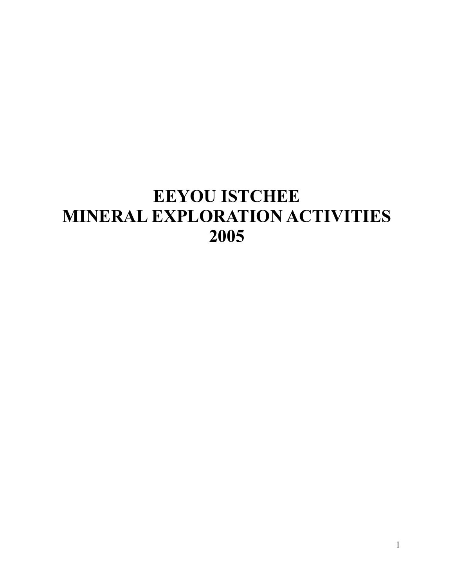# **EEYOU ISTCHEE MINERAL EXPLORATION ACTIVITIES 2005**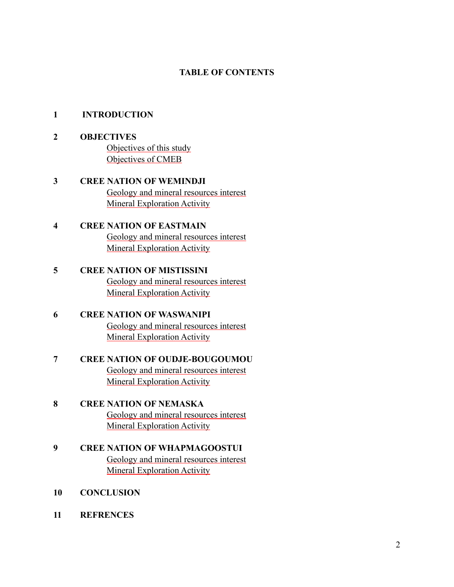#### **TABLE OF CONTENTS**

#### **1 INTRODUCTION**

- **2 OBJECTIVES Objectives of this study** Objectives of CMEB
- **3 CREE NATION OF WEMINDJI**  Geology and mineral resources interest Mineral Exploration Activity
- **4 CREE NATION OF EASTMAIN**  Geology and mineral resources interest Mineral Exploration Activity
- **5 CREE NATION OF MISTISSINI**  Geology and mineral resources interest Mineral Exploration Activity
- **6 CREE NATION OF WASWANIPI**  Geology and mineral resources interest Mineral Exploration Activity
- **7 CREE NATION OF OUDJE-BOUGOUMOU**  Geology and mineral resources interest Mineral Exploration Activity
- **8 CREE NATION OF NEMASKA**  Geology and mineral resources interest Mineral Exploration Activity
- **9 CREE NATION OF WHAPMAGOOSTUI**  Geology and mineral resources interest Mineral Exploration Activity
- **10 CONCLUSION**
- **11 REFRENCES**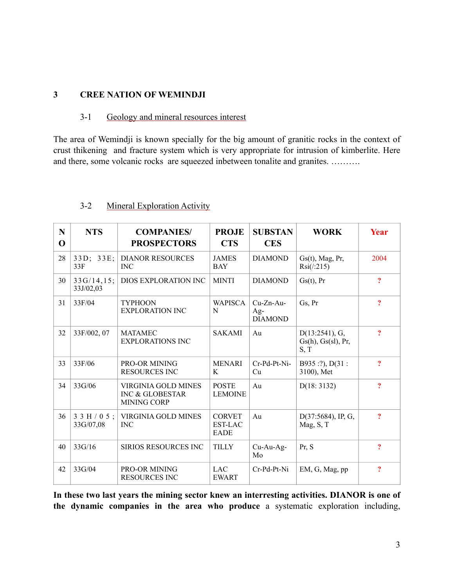#### **3 CREE NATION OF WEMINDJI**

#### 3-1 Geology and mineral resources interest

The area of Wemindji is known specially for the big amount of granitic rocks in the context of crust thikening and fracture system which is very appropriate for intrusion of kimberlite. Here and there, some volcanic rocks are squeezed inbetween tonalite and granites. ……….

| N<br>$\Omega$ | <b>NTS</b>               | <b>COMPANIES/</b><br><b>PROSPECTORS</b>                                        | <b>PROJE</b><br><b>CTS</b>                     | <b>SUBSTAN</b><br><b>CES</b>           | <b>WORK</b>                                  | Year                       |
|---------------|--------------------------|--------------------------------------------------------------------------------|------------------------------------------------|----------------------------------------|----------------------------------------------|----------------------------|
| 28            | $33D$ ; $33E$ ;<br>33F   | <b>DIANOR RESOURCES</b><br><b>INC</b>                                          | <b>JAMES</b><br><b>BAY</b>                     | <b>DIAMOND</b>                         | $Gs(t)$ , Mag, Pr,<br>Rsi/(215)              | 2004                       |
| 30            | 33G/14, 15;<br>33J/02,03 | DIOS EXPLORATION INC                                                           | <b>MINTI</b>                                   | <b>DIAMOND</b>                         | Gs(t), Pr                                    | $\overline{?}$             |
| 31            | 33F/04                   | <b>TYPHOON</b><br><b>EXPLORATION INC</b>                                       | <b>WAPISCA</b><br>N                            | $Cu-Zn-Au-$<br>$Ag-$<br><b>DIAMOND</b> | Gs, Pr                                       | $\overline{\mathbf{?}}$    |
| 32            | 33F/002, 07              | <b>MATAMEC</b><br><b>EXPLORATIONS INC</b>                                      | <b>SAKAMI</b>                                  | Au                                     | D(13:2541), G,<br>Gs(h), Gs(sl), Pr,<br>S, T | $\overline{?}$             |
| 33            | 33F/06                   | <b>PRO-OR MINING</b><br><b>RESOURCES INC</b>                                   | <b>MENARI</b><br>K                             | Cr-Pd-Pt-Ni-<br>Cu                     | B935 :?), D(31 :<br>3100), Met               | $\overline{?}$             |
| 34            | 33G/06                   | <b>VIRGINIA GOLD MINES</b><br><b>INC &amp; GLOBESTAR</b><br><b>MINING CORP</b> | <b>POSTE</b><br><b>LEMOINE</b>                 | Au                                     | D(18: 3132)                                  | $\overline{?}$             |
| 36            | $33H/05$ ;<br>33G/07,08  | <b>VIRGINIA GOLD MINES</b><br><b>INC</b>                                       | <b>CORVET</b><br><b>EST-LAC</b><br><b>EADE</b> | Au                                     | $D(37:5684)$ , IP, G,<br>Mag, S, T           | $\boldsymbol{\mathcal{P}}$ |
| 40            | 33G/16                   | <b>SIRIOS RESOURCES INC</b>                                                    | <b>TILLY</b>                                   | $Cu-Au-Ag-$<br>Mo                      | Pr, S                                        | $\overline{\mathbf{?}}$    |
| 42            | 33G/04                   | <b>PRO-OR MINING</b><br><b>RESOURCES INC</b>                                   | <b>LAC</b><br><b>EWART</b>                     | Cr-Pd-Pt-Ni                            | EM, G, Mag, pp                               | $\ddot{ }$                 |

#### 3-2 Mineral Exploration Activity

**In these two last years the mining sector knew an interresting activities. DIANOR is one of the dynamic companies in the area who produce** a systematic exploration including,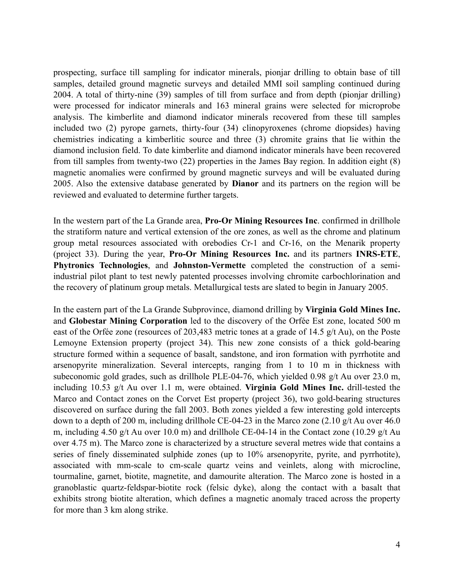prospecting, surface till sampling for indicator minerals, pionjar drilling to obtain base of till samples, detailed ground magnetic surveys and detailed MMI soil sampling continued during 2004. A total of thirty-nine (39) samples of till from surface and from depth (pionjar drilling) were processed for indicator minerals and 163 mineral grains were selected for microprobe analysis. The kimberlite and diamond indicator minerals recovered from these till samples included two (2) pyrope garnets, thirty-four (34) clinopyroxenes (chrome diopsides) having chemistries indicating a kimberlitic source and three (3) chromite grains that lie within the diamond inclusion field. To date kimberlite and diamond indicator minerals have been recovered from till samples from twenty-two (22) properties in the James Bay region. In addition eight (8) magnetic anomalies were confirmed by ground magnetic surveys and will be evaluated during 2005. Also the extensive database generated by **Dianor** and its partners on the region will be reviewed and evaluated to determine further targets.

In the western part of the La Grande area, **Pro-Or Mining Resources Inc**. confirmed in drillhole the stratiform nature and vertical extension of the ore zones, as well as the chrome and platinum group metal resources associated with orebodies Cr-1 and Cr-16, on the Menarik property (project 33). During the year, **Pro-Or Mining Resources Inc.** and its partners **INRS-ETE**, **Phytronics Technologies**, and **Johnston-Vermette** completed the construction of a semiindustrial pilot plant to test newly patented processes involving chromite carbochlorination and the recovery of platinum group metals. Metallurgical tests are slated to begin in January 2005.

In the eastern part of the La Grande Subprovince, diamond drilling by **Virginia Gold Mines Inc.**  and **Globestar Mining Corporation** led to the discovery of the Orfée Est zone, located 500 m east of the Orfée zone (resources of 203,483 metric tones at a grade of 14.5 g/t Au), on the Poste Lemoyne Extension property (project 34). This new zone consists of a thick gold-bearing structure formed within a sequence of basalt, sandstone, and iron formation with pyrrhotite and arsenopyrite mineralization. Several intercepts, ranging from 1 to 10 m in thickness with subeconomic gold grades, such as drillhole PLE-04-76, which yielded 0.98 g/t Au over 23.0 m, including 10.53 g/t Au over 1.1 m, were obtained. **Virginia Gold Mines Inc.** drill-tested the Marco and Contact zones on the Corvet Est property (project 36), two gold-bearing structures discovered on surface during the fall 2003. Both zones yielded a few interesting gold intercepts down to a depth of 200 m, including drillhole CE-04-23 in the Marco zone (2.10 g/t Au over 46.0 m, including 4.50 g/t Au over 10.0 m) and drillhole CE-04-14 in the Contact zone (10.29 g/t Au over 4.75 m). The Marco zone is characterized by a structure several metres wide that contains a series of finely disseminated sulphide zones (up to 10% arsenopyrite, pyrite, and pyrrhotite), associated with mm-scale to cm-scale quartz veins and veinlets, along with microcline, tourmaline, garnet, biotite, magnetite, and damourite alteration. The Marco zone is hosted in a granoblastic quartz-feldspar-biotite rock (felsic dyke), along the contact with a basalt that exhibits strong biotite alteration, which defines a magnetic anomaly traced across the property for more than 3 km along strike.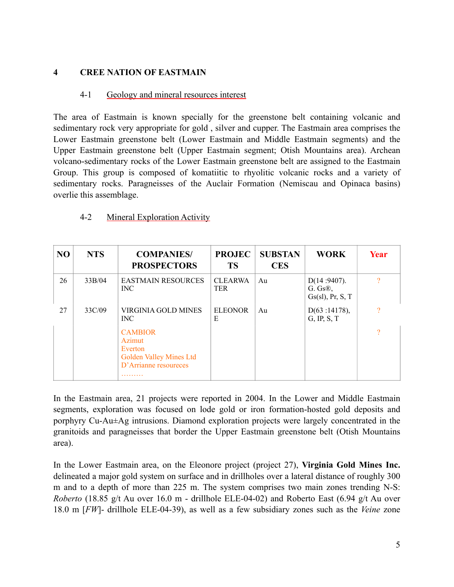#### **4 CREE NATION OF EASTMAIN**

#### 4-1 Geology and mineral resources interest

The area of Eastmain is known specially for the greenstone belt containing volcanic and sedimentary rock very appropriate for gold , silver and cupper. The Eastmain area comprises the Lower Eastmain greenstone belt (Lower Eastmain and Middle Eastmain segments) and the Upper Eastmain greenstone belt (Upper Eastmain segment; Otish Mountains area). Archean volcano-sedimentary rocks of the Lower Eastmain greenstone belt are assigned to the Eastmain Group. This group is composed of komatiitic to rhyolitic volcanic rocks and a variety of sedimentary rocks. Paragneisses of the Auclair Formation (Nemiscau and Opinaca basins) overlie this assemblage.

#### 4-2 Mineral Exploration Activity

| N <sub>O</sub> | <b>NTS</b> | <b>COMPANIES/</b><br><b>PROSPECTORS</b>                                                               | <b>PROJEC</b><br><b>TS</b>   | <b>SUBSTAN</b><br><b>CES</b> | <b>WORK</b>                                      | Year                     |
|----------------|------------|-------------------------------------------------------------------------------------------------------|------------------------------|------------------------------|--------------------------------------------------|--------------------------|
| 26             | 33B/04     | <b>EASTMAIN RESOURCES</b><br>INC.                                                                     | <b>CLEARWA</b><br><b>TER</b> | Au                           | $D(14:9407)$ .<br>$G. Gs@$ ,<br>Gs(sl), Pr, S, T | 9                        |
| 27             | 33C/09     | VIRGINIA GOLD MINES<br>INC.                                                                           | <b>ELEONOR</b><br>Е          | Au                           | D(63:14178),<br>$G$ , IP, $S$ , T                | റ                        |
|                |            | <b>CAMBIOR</b><br><b>Azimut</b><br>Everton<br><b>Golden Valley Mines Ltd</b><br>D'Arrianne resoureces |                              |                              |                                                  | $\overline{\mathcal{C}}$ |

In the Eastmain area, 21 projects were reported in 2004. In the Lower and Middle Eastmain segments, exploration was focused on lode gold or iron formation-hosted gold deposits and porphyry Cu-Au±Ag intrusions. Diamond exploration projects were largely concentrated in the granitoids and paragneisses that border the Upper Eastmain greenstone belt (Otish Mountains area).

In the Lower Eastmain area, on the Eleonore project (project 27), **Virginia Gold Mines Inc.**  delineated a major gold system on surface and in drillholes over a lateral distance of roughly 300 m and to a depth of more than 225 m. The system comprises two main zones trending N-S: *Roberto* (18.85 g/t Au over 16.0 m - drillhole ELE-04-02) and Roberto East (6.94 g/t Au over 18.0 m [*FW*]- drillhole ELE-04-39), as well as a few subsidiary zones such as the *Veine* zone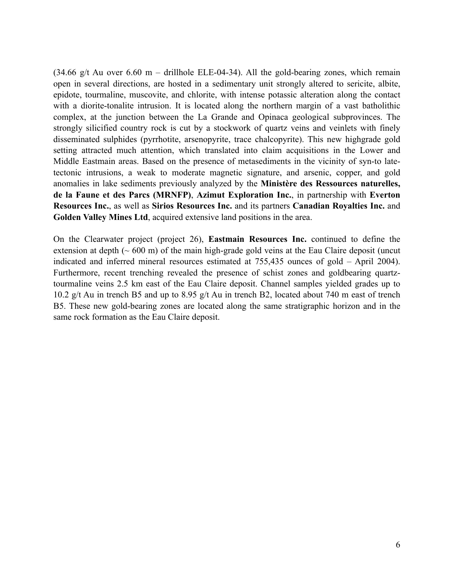$(34.66 \text{ g/t}$  Au over  $6.60 \text{ m}$  – drillhole ELE-04-34). All the gold-bearing zones, which remain open in several directions, are hosted in a sedimentary unit strongly altered to sericite, albite, epidote, tourmaline, muscovite, and chlorite, with intense potassic alteration along the contact with a diorite-tonalite intrusion. It is located along the northern margin of a vast batholithic complex, at the junction between the La Grande and Opinaca geological subprovinces. The strongly silicified country rock is cut by a stockwork of quartz veins and veinlets with finely disseminated sulphides (pyrrhotite, arsenopyrite, trace chalcopyrite). This new highgrade gold setting attracted much attention, which translated into claim acquisitions in the Lower and Middle Eastmain areas. Based on the presence of metasediments in the vicinity of syn-to latetectonic intrusions, a weak to moderate magnetic signature, and arsenic, copper, and gold anomalies in lake sediments previously analyzed by the **Ministère des Ressources naturelles, de la Faune et des Parcs (MRNFP)**, **Azimut Exploration Inc.**, in partnership with **Everton Resources Inc.**, as well as **Sirios Resources Inc.** and its partners **Canadian Royalties Inc.** and **Golden Valley Mines Ltd**, acquired extensive land positions in the area.

On the Clearwater project (project 26), **Eastmain Resources Inc.** continued to define the extension at depth  $($   $\sim$  600 m) of the main high-grade gold veins at the Eau Claire deposit (uncut indicated and inferred mineral resources estimated at 755,435 ounces of gold – April 2004). Furthermore, recent trenching revealed the presence of schist zones and goldbearing quartztourmaline veins 2.5 km east of the Eau Claire deposit. Channel samples yielded grades up to 10.2 g/t Au in trench B5 and up to 8.95 g/t Au in trench B2, located about 740 m east of trench B5. These new gold-bearing zones are located along the same stratigraphic horizon and in the same rock formation as the Eau Claire deposit.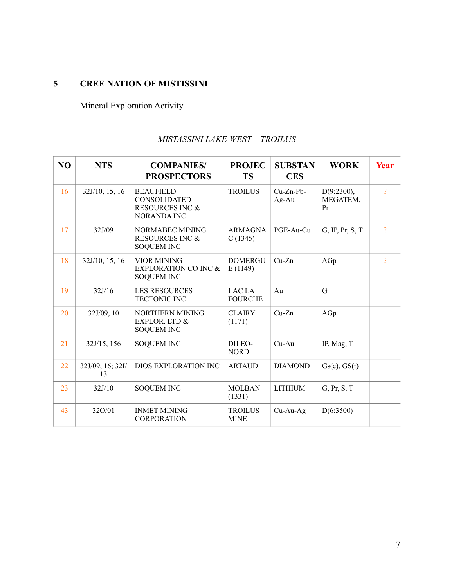# **5 CREE NATION OF MISTISSINI**

# Mineral Exploration Activity

### *MISTASSINI LAKE WEST – TROILUS*

| NO | <b>NTS</b>             | <b>COMPANIES/</b><br><b>PROSPECTORS</b>                                                     | <b>PROJEC</b><br><b>TS</b>    | <b>SUBSTAN</b><br><b>CES</b> | <b>WORK</b>                     | Year                |
|----|------------------------|---------------------------------------------------------------------------------------------|-------------------------------|------------------------------|---------------------------------|---------------------|
| 16 | 32J/10, 15, 16         | <b>BEAUFIELD</b><br><b>CONSOLIDATED</b><br><b>RESOURCES INC &amp;</b><br><b>NORANDA INC</b> | <b>TROILUS</b>                | $Cu-Zn-Pb-$<br>Ag-Au         | $D(9:2300)$ ,<br>MEGATEM,<br>Pr | $\overline{?}$      |
| 17 | 32J/09                 | NORMABEC MINING<br><b>RESOURCES INC &amp;</b><br><b>SOQUEM INC</b>                          | <b>ARMAGNA</b><br>C(1345)     | PGE-Au-Cu                    | G, IP, Pr, S, T                 | $\boldsymbol{\eta}$ |
| 18 | 32J/10, 15, 16         | <b>VIOR MINING</b><br><b>EXPLORATION CO INC &amp;</b><br><b>SOQUEM INC</b>                  | <b>DOMERGU</b><br>E(1149)     | $Cu-Zn$                      | AGp                             | $\overline{?}$      |
| 19 | 32J/16                 | <b>LES RESOURCES</b><br><b>TECTONIC INC</b>                                                 | LAC LA<br><b>FOURCHE</b>      | Au                           | G                               |                     |
| 20 | 32J/09, 10             | NORTHERN MINING<br>EXPLOR. LTD &<br><b>SOQUEM INC</b>                                       | <b>CLAIRY</b><br>(1171)       | $Cu-Zn$                      | AGp                             |                     |
| 21 | 32J/15, 156            | <b>SOQUEM INC</b>                                                                           | DILEO-<br><b>NORD</b>         | $Cu-Au$                      | IP, Mag, T                      |                     |
| 22 | 32J/09, 16; 32I/<br>13 | DIOS EXPLORATION INC                                                                        | <b>ARTAUD</b>                 | <b>DIAMOND</b>               | Gs(e), GS(t)                    |                     |
| 23 | 32J/10                 | <b>SOQUEM INC</b>                                                                           | <b>MOLBAN</b><br>(1331)       | <b>LITHIUM</b>               | G, Pr, S, T                     |                     |
| 43 | 32O/01                 | <b>INMET MINING</b><br><b>CORPORATION</b>                                                   | <b>TROILUS</b><br><b>MINE</b> | $Cu-Au-Ag$                   | D(6:3500)                       |                     |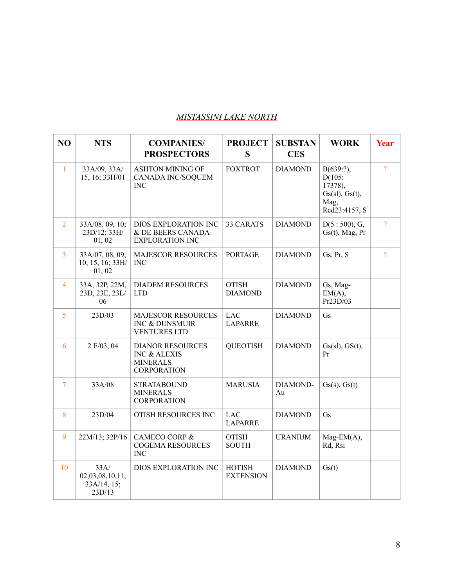## *MISTASSINI LAKE NORTH*

| N <sub>O</sub> | <b>NTS</b>                                       | <b>COMPANIES/</b><br><b>PROSPECTORS</b>                                                     | <b>PROJECT</b><br>S               | <b>SUBSTAN</b><br><b>CES</b> | <b>WORK</b>                                                                      | <b>Year</b>    |
|----------------|--------------------------------------------------|---------------------------------------------------------------------------------------------|-----------------------------------|------------------------------|----------------------------------------------------------------------------------|----------------|
| $\mathbf{1}$   | 33A/09, 33A/<br>15, 16; 33H/01                   | <b>ASHTON MINING OF</b><br>CANADA INC/SOQUEM<br><b>INC</b>                                  | <b>FOXTROT</b>                    | <b>DIAMOND</b>               | $B(639:?)$ ,<br>$D(105)$ :<br>17378),<br>Gs(sl), Gs(t),<br>Mag,<br>Rcd23:4157, S | $\overline{?}$ |
| $\overline{2}$ | 33A/08, 09, 10;<br>23D/12; 33H/<br>01, 02        | DIOS EXPLORATION INC<br>& DE BEERS CANADA<br><b>EXPLORATION INC</b>                         | 33 CARATS                         | <b>DIAMOND</b>               | $D(5:500)$ , G,<br>$Gs(t)$ , Mag, Pr                                             | $\overline{?}$ |
| $\overline{3}$ | 33A/07, 08, 09,<br>10, 15, 16; 33H/<br>01,02     | <b>MAJESCOR RESOURCES</b><br><b>INC</b>                                                     | <b>PORTAGE</b>                    | <b>DIAMOND</b>               | Gs, Pr, S                                                                        | $\overline{?}$ |
| $\overline{4}$ | 33A, 32P, 22M,<br>23D, 23E, 23L/<br>06           | <b>DIADEM RESOURCES</b><br><b>LTD</b>                                                       | <b>OTISH</b><br><b>DIAMOND</b>    | <b>DIAMOND</b>               | Gs, Mag-<br>EM(A),<br>Pr23D/03                                                   |                |
| 5              | 23D/03                                           | <b>MAJESCOR RESOURCES</b><br>INC & DUNSMUIR<br><b>VENTURES LTD</b>                          | <b>LAC</b><br><b>LAPARRE</b>      | <b>DIAMOND</b>               | Gs                                                                               |                |
| 6              | 2 E/03, 04                                       | <b>DIANOR RESOURCES</b><br><b>INC &amp; ALEXIS</b><br><b>MINERALS</b><br><b>CORPORATION</b> | <b>QUEOTISH</b>                   | <b>DIAMOND</b>               | Gs(sl), GS(t),<br>Pr                                                             |                |
| $\overline{7}$ | 33A/08                                           | <b>STRATABOUND</b><br><b>MINERALS</b><br><b>CORPORATION</b>                                 | <b>MARUSIA</b>                    | DIAMOND-<br>Au               | Gs(s), Gs(t)                                                                     |                |
| 8              | 23D/04                                           | OTISH RESOURCES INC                                                                         | <b>LAC</b><br><b>LAPARRE</b>      | <b>DIAMOND</b>               | Gs                                                                               |                |
| 9              | 22M/13; 32P/16                                   | <b>CAMECO CORP &amp;</b><br><b>COGEMA RESOURCES</b><br>$\rm{INC}$                           | <b>OTISH</b><br><b>SOUTH</b>      | <b>URANIUM</b>               | $Mag-EM(A),$<br>Rd, Rsi                                                          |                |
| 10             | 33A/<br>02,03,08,10,11;<br>33A/14, 15;<br>23D/13 | DIOS EXPLORATION INC                                                                        | <b>HOTISH</b><br><b>EXTENSION</b> | <b>DIAMOND</b>               | Gs(t)                                                                            |                |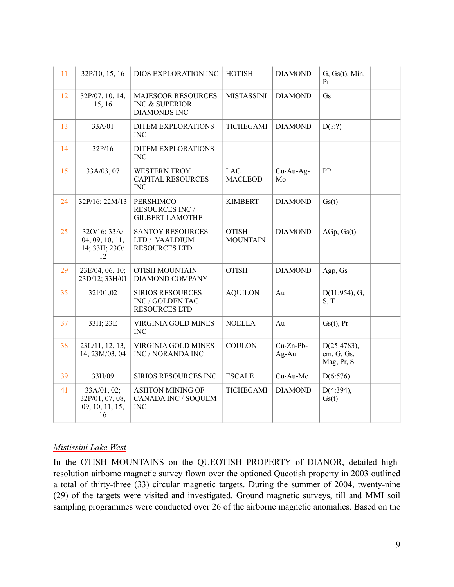| 11 | 32P/10, 15, 16                                          | DIOS EXPLORATION INC                                                | <b>HOTISH</b>                   | <b>DIAMOND</b>     | G, Gs(t), Min,<br>Pr                    |  |
|----|---------------------------------------------------------|---------------------------------------------------------------------|---------------------------------|--------------------|-----------------------------------------|--|
| 12 | 32P/07, 10, 14,<br>15, 16                               | <b>MAJESCOR RESOURCES</b><br>INC & SUPERIOR<br><b>DIAMONDS INC</b>  | <b>MISTASSINI</b>               | <b>DIAMOND</b>     | Gs                                      |  |
| 13 | 33A/01                                                  | DITEM EXPLORATIONS<br><b>INC</b>                                    | TICHEGAMI                       | <b>DIAMOND</b>     | D(???)                                  |  |
| 14 | 32P/16                                                  | DITEM EXPLORATIONS<br><b>INC</b>                                    |                                 |                    |                                         |  |
| 15 | 33A/03, 07                                              | <b>WESTERN TROY</b><br><b>CAPITAL RESOURCES</b><br><b>INC</b>       | <b>LAC</b><br><b>MACLEOD</b>    | Cu-Au-Ag-<br>Mo    | PP                                      |  |
| 24 | 32P/16; 22M/13                                          | PERSHIMCO<br><b>RESOURCES INC /</b><br><b>GILBERT LAMOTHE</b>       | <b>KIMBERT</b>                  | <b>DIAMOND</b>     | Gs(t)                                   |  |
| 25 | 32O/16; 33A/<br>04, 09, 10, 11,<br>14; 33H; 23O/<br>12  | <b>SANTOY RESOURCES</b><br>LTD / VAALDIUM<br><b>RESOURCES LTD</b>   | <b>OTISH</b><br><b>MOUNTAIN</b> | <b>DIAMOND</b>     | AGp, Gs(t)                              |  |
| 29 | 23E/04, 06, 10;<br>23D/12; 33H/01                       | <b>OTISH MOUNTAIN</b><br>DIAMOND COMPANY                            | <b>OTISH</b>                    | <b>DIAMOND</b>     | Agp, Gs                                 |  |
| 35 | 32I/01,02                                               | <b>SIRIOS RESOURCES</b><br>INC / GOLDEN TAG<br><b>RESOURCES LTD</b> | <b>AQUILON</b>                  | Au                 | $D(11:954)$ , G,<br>S, T                |  |
| 37 | 33H; 23E                                                | VIRGINIA GOLD MINES<br><b>INC</b>                                   | <b>NOELLA</b>                   | Au                 | $Gs(t)$ , Pr                            |  |
| 38 | 23L/11, 12, 13,<br>14; 23M/03, 04                       | VIRGINIA GOLD MINES<br>INC / NORANDA INC                            | <b>COULON</b>                   | Cu-Zn-Pb-<br>Ag-Au | D(25:4783),<br>em, G, Gs,<br>Mag, Pr, S |  |
| 39 | 33H/09                                                  | SIRIOS RESOURCES INC                                                | <b>ESCALE</b>                   | Cu-Au-Mo           | D(6:576)                                |  |
| 41 | 33A/01, 02;<br>32P/01, 07, 08,<br>09, 10, 11, 15,<br>16 | <b>ASHTON MINING OF</b><br>CANADA INC / SOQUEM<br><b>INC</b>        | TICHEGAMI                       | <b>DIAMOND</b>     | $D(4:394)$ ,<br>Gs(t)                   |  |

#### *Mistissini Lake West*

In the OTISH MOUNTAINS on the QUEOTISH PROPERTY of DIANOR, detailed highresolution airborne magnetic survey flown over the optioned Queotish property in 2003 outlined a total of thirty-three (33) circular magnetic targets. During the summer of 2004, twenty-nine (29) of the targets were visited and investigated. Ground magnetic surveys, till and MMI soil sampling programmes were conducted over 26 of the airborne magnetic anomalies. Based on the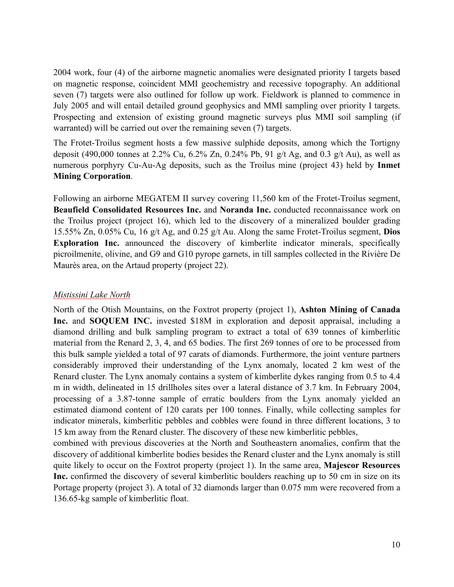2004 work, four (4) of the airborne magnetic anomalies were designated priority I targets based on magnetic response, coincident MMI geochemistry and recessive topography. An additional seven (7) targets were also outlined for follow up work. Fieldwork is planned to commence in July 2005 and will entail detailed ground geophysics and MMI sampling over priority I targets. Prospecting and extension of existing ground magnetic surveys plus MMI soil sampling (if warranted) will be carried out over the remaining seven (7) targets.

The Frotet-Troilus segment hosts a few massive sulphide deposits, among which the Tortigny deposit (490,000 tonnes at 2.2% Cu, 6.2% Zn, 0.24% Pb, 91 g/t Ag, and 0.3 g/t Au), as well as numerous porphyry Cu-Au-Ag deposits, such as the Troilus mine (project 43) held by **Inmet Mining Corporation**.

Following an airborne MEGATEM II survey covering 11,560 km of the Frotet-Troilus segment, **Beaufield Consolidated Resources Inc.** and **Noranda Inc.** conducted reconnaissance work on the Troilus project (project 16), which led to the discovery of a mineralized boulder grading 15.55% Zn, 0.05% Cu, 16 g/t Ag, and 0.25 g/t Au. Along the same Frotet-Troilus segment, **Dios Exploration Inc.** announced the discovery of kimberlite indicator minerals, specifically picroilmenite, olivine, and G9 and G10 pyrope garnets, in till samples collected in the Rivière De Maurès area, on the Artaud property (project 22).

#### *Mistissini Lake North*

North of the Otish Mountains, on the Foxtrot property (project 1), **Ashton Mining of Canada Inc.** and **SOQUEM INC.** invested \$18M in exploration and deposit appraisal, including a diamond drilling and bulk sampling program to extract a total of 639 tonnes of kimberlitic material from the Renard 2, 3, 4, and 65 bodies. The first 269 tonnes of ore to be processed from this bulk sample yielded a total of 97 carats of diamonds. Furthermore, the joint venture partners considerably improved their understanding of the Lynx anomaly, located 2 km west of the Renard cluster. The Lynx anomaly contains a system of kimberlite dykes ranging from 0.5 to 4.4 m in width, delineated in 15 drillholes sites over a lateral distance of 3.7 km. In February 2004, processing of a 3.87-tonne sample of erratic boulders from the Lynx anomaly yielded an estimated diamond content of 120 carats per 100 tonnes. Finally, while collecting samples for indicator minerals, kimberlitic pebbles and cobbles were found in three different locations, 3 to 15 km away from the Renard cluster. The discovery of these new kimberlitic pebbles,

combined with previous discoveries at the North and Southeastern anomalies, confirm that the discovery of additional kimberlite bodies besides the Renard cluster and the Lynx anomaly is still quite likely to occur on the Foxtrot property (project 1). In the same area, **Majescor Resources Inc.** confirmed the discovery of several kimberlitic boulders reaching up to 50 cm in size on its Portage property (project 3). A total of 32 diamonds larger than 0.075 mm were recovered from a 136.65-kg sample of kimberlitic float.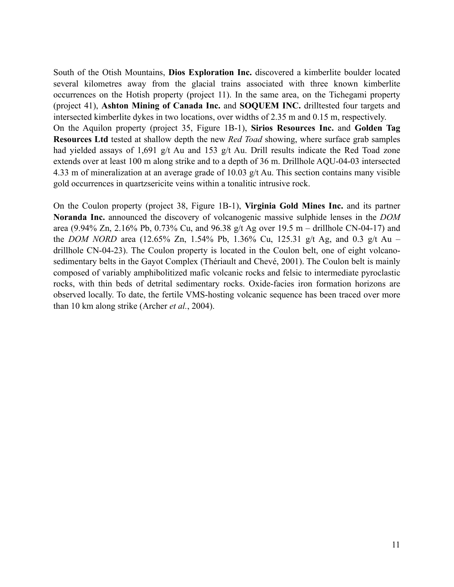South of the Otish Mountains, **Dios Exploration Inc.** discovered a kimberlite boulder located several kilometres away from the glacial trains associated with three known kimberlite occurrences on the Hotish property (project 11). In the same area, on the Tichegami property (project 41), **Ashton Mining of Canada Inc.** and **SOQUEM INC.** drilltested four targets and intersected kimberlite dykes in two locations, over widths of 2.35 m and 0.15 m, respectively. On the Aquilon property (project 35, Figure 1B-1), **Sirios Resources Inc.** and **Golden Tag Resources Ltd** tested at shallow depth the new *Red Toad* showing, where surface grab samples had yielded assays of 1,691 g/t Au and 153 g/t Au. Drill results indicate the Red Toad zone extends over at least 100 m along strike and to a depth of 36 m. Drillhole AQU-04-03 intersected 4.33 m of mineralization at an average grade of 10.03 g/t Au. This section contains many visible gold occurrences in quartzsericite veins within a tonalitic intrusive rock.

On the Coulon property (project 38, Figure 1B-1), **Virginia Gold Mines Inc.** and its partner **Noranda Inc.** announced the discovery of volcanogenic massive sulphide lenses in the *DOM*  area (9.94% Zn, 2.16% Pb, 0.73% Cu, and 96.38 g/t Ag over 19.5 m – drillhole CN-04-17) and the *DOM NORD* area (12.65% Zn, 1.54% Pb, 1.36% Cu, 125.31 g/t Ag, and 0.3 g/t Au – drillhole CN-04-23). The Coulon property is located in the Coulon belt, one of eight volcanosedimentary belts in the Gayot Complex (Thériault and Chevé, 2001). The Coulon belt is mainly composed of variably amphibolitized mafic volcanic rocks and felsic to intermediate pyroclastic rocks, with thin beds of detrital sedimentary rocks. Oxide-facies iron formation horizons are observed locally. To date, the fertile VMS-hosting volcanic sequence has been traced over more than 10 km along strike (Archer *et al.*, 2004).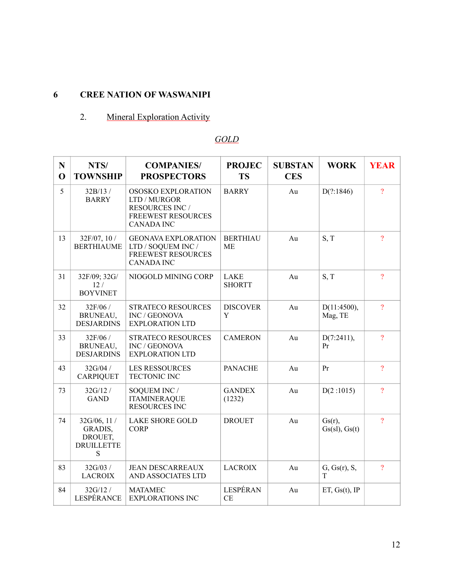# **6 CREE NATION OF WASWANIPI**

# 2. Mineral Exploration Activity

# *GOLD*

| N<br>$\mathbf 0$ | NTS/<br><b>TOWNSHIP</b>                                      | <b>COMPANIES/</b><br><b>PROSPECTORS</b>                                                                        | <b>PROJEC</b><br><b>TS</b>   | <b>SUBSTAN</b><br><b>CES</b> | <b>WORK</b>                | <b>YEAR</b>    |
|------------------|--------------------------------------------------------------|----------------------------------------------------------------------------------------------------------------|------------------------------|------------------------------|----------------------------|----------------|
| 5                | 32B/13/<br><b>BARRY</b>                                      | OSOSKO EXPLORATION<br>LTD / MURGOR<br><b>RESOURCES INC /</b><br><b>FREEWEST RESOURCES</b><br><b>CANADA INC</b> | <b>BARRY</b>                 | Au                           | D(??:1846)                 | $\gamma$       |
| 13               | $32F/07$ , 10 /<br><b>BERTHIAUME</b>                         | <b>GEONAVA EXPLORATION</b><br>LTD / SOQUEM INC /<br><b>FREEWEST RESOURCES</b><br><b>CANADA INC</b>             | <b>BERTHIAU</b><br><b>ME</b> | Au                           | S, T                       | $\overline{?}$ |
| 31               | 32F/09; 32G/<br>12/<br><b>BOYVINET</b>                       | NIOGOLD MINING CORP                                                                                            | <b>LAKE</b><br><b>SHORTT</b> | Au                           | S, T                       | $\overline{?}$ |
| 32               | 32F/06 /<br>BRUNEAU,<br><b>DESJARDINS</b>                    | <b>STRATECO RESOURCES</b><br>INC / GEONOVA<br><b>EXPLORATION LTD</b>                                           | <b>DISCOVER</b><br>Y         | Au                           | D(11:4500),<br>Mag, TE     | $\overline{?}$ |
| 33               | 32F/06 /<br>BRUNEAU,<br><b>DESJARDINS</b>                    | <b>STRATECO RESOURCES</b><br>INC / GEONOVA<br><b>EXPLORATION LTD</b>                                           | <b>CAMERON</b>               | Au                           | D(7:2411),<br>Pr           | $\gamma$       |
| 43               | 32G/04 /<br><b>CARPIQUET</b>                                 | <b>LES RESSOURCES</b><br><b>TECTONIC INC</b>                                                                   | <b>PANACHE</b>               | Au                           | Pr                         | $\overline{?}$ |
| 73               | 32G/12/<br><b>GAND</b>                                       | SOQUEM INC /<br><b>ITAMINERAQUE</b><br><b>RESOURCES INC</b>                                                    | <b>GANDEX</b><br>(1232)      | Au                           | D(2:1015)                  | $\overline{?}$ |
| 74               | 32G/06, 11 /<br>GRADIS,<br>DROUET,<br><b>DRUILLETTE</b><br>S | <b>LAKE SHORE GOLD</b><br><b>CORP</b>                                                                          | <b>DROUET</b>                | Au                           | $Gs(r)$ ,<br>Gs(sl), Gs(t) | $\overline{?}$ |
| 83               | 32G/03 /<br><b>LACROIX</b>                                   | <b>JEAN DESCARREAUX</b><br>AND ASSOCIATES LTD                                                                  | <b>LACROIX</b>               | Au                           | G, Gs(r), S,<br>T          | $\overline{?}$ |
| 84               | 32G/12/<br>LESPÉRANCE                                        | <b>MATAMEC</b><br><b>EXPLORATIONS INC</b>                                                                      | LESPÉRAN<br><b>CE</b>        | Au                           | ET, $Gs(t)$ , IP           |                |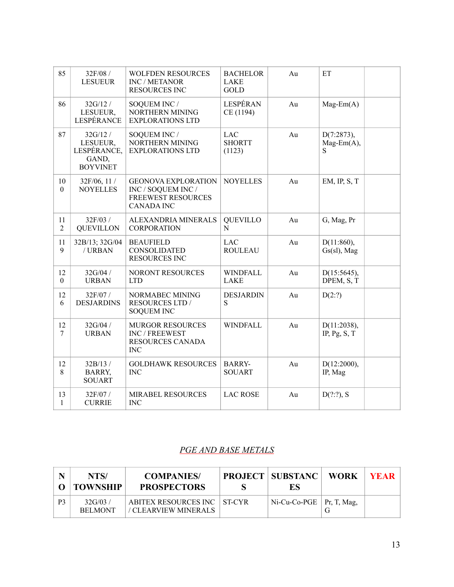| 85                     | 32F/08 /<br><b>LESUEUR</b>                                     | <b>WOLFDEN RESOURCES</b><br><b>INC / METANOR</b><br><b>RESOURCES INC</b>                           | <b>BACHELOR</b><br><b>LAKE</b><br><b>GOLD</b> | Au | ET                                  |  |
|------------------------|----------------------------------------------------------------|----------------------------------------------------------------------------------------------------|-----------------------------------------------|----|-------------------------------------|--|
| 86                     | 32G/12/<br>LESUEUR,<br>LESPÉRANCE                              | SOQUEM INC /<br>NORTHERN MINING<br><b>EXPLORATIONS LTD</b>                                         | LESPÉRAN<br>CE (1194)                         | Au | $Mag-Em(A)$                         |  |
| 87                     | 32G/12/<br>LESUEUR,<br>LESPÉRANCE,<br>GAND,<br><b>BOYVINET</b> | SOQUEM INC /<br>NORTHERN MINING<br><b>EXPLORATIONS LTD</b>                                         | <b>LAC</b><br><b>SHORTT</b><br>(1123)         | Au | D(7:2873),<br>$Mag-Em(A),$<br>S     |  |
| 10<br>$\boldsymbol{0}$ | $32F/06$ , 11 /<br><b>NOYELLES</b>                             | <b>GEONOVA EXPLORATION</b><br>INC / SOQUEM INC /<br><b>FREEWEST RESOURCES</b><br><b>CANADA INC</b> | <b>NOYELLES</b>                               | Au | $EM$ , IP, S, T                     |  |
| 11<br>$\overline{2}$   | 32F/03 /<br><b>QUEVILLON</b>                                   | ALEXANDRIA MINERALS<br><b>CORPORATION</b>                                                          | <b>QUEVILLO</b><br>N                          | Au | G, Mag, Pr                          |  |
| 11<br>9                | 32B/13; 32G/04<br>/URBAN                                       | <b>BEAUFIELD</b><br><b>CONSOLIDATED</b><br><b>RESOURCES INC</b>                                    | <b>LAC</b><br><b>ROULEAU</b>                  | Au | $D(11:860)$ ,<br>$Gs(sl)$ , Mag     |  |
| 12<br>$\mathbf{0}$     | 32G/04 /<br><b>URBAN</b>                                       | NORONT RESOURCES<br><b>LTD</b>                                                                     | <b>WINDFALL</b><br><b>LAKE</b>                | Au | D(15:5645),<br>DPEM, S, T           |  |
| 12<br>6                | 32F/07/<br><b>DESJARDINS</b>                                   | NORMABEC MINING<br><b>RESOURCES LTD /</b><br><b>SOQUEM INC</b>                                     | <b>DESJARDIN</b><br>S                         | Au | D(2:?)                              |  |
| 12<br>7                | 32G/04 /<br><b>URBAN</b>                                       | <b>MURGOR RESOURCES</b><br>INC / FREEWEST<br>RESOURCES CANADA<br><b>INC</b>                        | <b>WINDFALL</b>                               | Au | D(11:2038),<br>IP, $Pg$ , $S$ , $T$ |  |
| 12<br>8                | 32B/13 /<br>BARRY,<br><b>SOUART</b>                            | <b>GOLDHAWK RESOURCES</b><br><b>INC</b>                                                            | <b>BARRY-</b><br><b>SOUART</b>                | Au | D(12:2000),<br>IP, Mag              |  |
| 13<br>$\mathbf{1}$     | 32F/07/<br><b>CURRIE</b>                                       | <b>MIRABEL RESOURCES</b><br><b>INC</b>                                                             | <b>LAC ROSE</b>                               | Au | $D(???)$ , S                        |  |

## *PGE AND BASE METALS*

|                | NTS/<br><b>TOWNSHIP</b>   | <b>COMPANIES</b><br><b>PROSPECTORS</b>              | <b>PROJECT   SUBSTANC   WORK</b><br>ES | <b>YEAR</b> |
|----------------|---------------------------|-----------------------------------------------------|----------------------------------------|-------------|
| P <sub>3</sub> | 32G/03/<br><b>BELMONT</b> | ABITEX RESOURCES INC ST-CYR<br>/ CLEARVIEW MINERALS | $Ni$ -Cu-Co-PGE   Pr, T, Mag,          |             |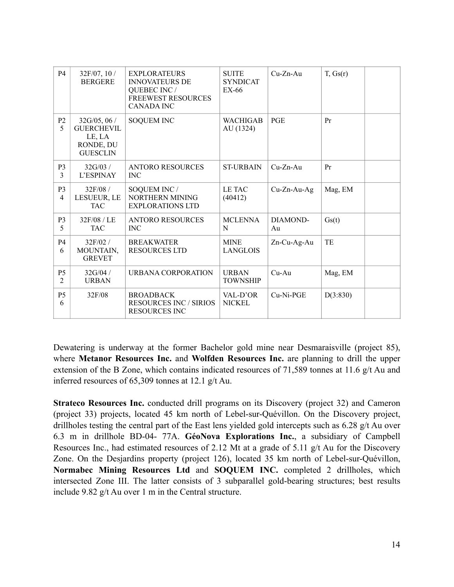| <b>P4</b>                        | 32F/07, 10 /<br><b>BERGERE</b>                                             | <b>EXPLORATEURS</b><br><b>INNOVATEURS DE</b><br>QUEBEC INC /<br><b>FREEWEST RESOURCES</b><br><b>CANADA INC</b> | <b>SUITE</b><br><b>SYNDICAT</b><br>EX-66 | $Cu-Zn-Au$     | T, Gs(r) |
|----------------------------------|----------------------------------------------------------------------------|----------------------------------------------------------------------------------------------------------------|------------------------------------------|----------------|----------|
| P <sub>2</sub><br>5              | 32G/05, 06/<br><b>GUERCHEVIL</b><br>LE, LA<br>RONDE, DU<br><b>GUESCLIN</b> | <b>SOQUEM INC</b>                                                                                              | <b>WACHIGAB</b><br>AU (1324)             | <b>PGE</b>     | Pr       |
| P <sub>3</sub><br>3              | 32G/03/<br>L'ESPINAY                                                       | <b>ANTORO RESOURCES</b><br><b>INC</b>                                                                          | <b>ST-URBAIN</b>                         | $Cu-Zn-Au$     | Pr       |
| P <sub>3</sub><br>$\overline{4}$ | 32F/08 /<br>LESUEUR, LE<br><b>TAC</b>                                      | SOQUEM INC /<br>NORTHERN MINING<br><b>EXPLORATIONS LTD</b>                                                     | LE TAC<br>(40412)                        | $Cu-Zn-Au-Ag$  | Mag, EM  |
| P <sub>3</sub><br>5              | 32F/08 / LE<br><b>TAC</b>                                                  | <b>ANTORO RESOURCES</b><br><b>INC</b>                                                                          | <b>MCLENNA</b><br>N                      | DIAMOND-<br>Au | Gs(t)    |
| P <sub>4</sub><br>6              | 32F/02/<br>MOUNTAIN,<br><b>GREVET</b>                                      | <b>BREAKWATER</b><br><b>RESOURCES LTD</b>                                                                      | <b>MINE</b><br><b>LANGLOIS</b>           | $Zn$ -Cu-Ag-Au | TE       |
| P <sub>5</sub><br>$\overline{2}$ | 32G/04/<br><b>URBAN</b>                                                    | URBANA CORPORATION                                                                                             | <b>URBAN</b><br><b>TOWNSHIP</b>          | $Cu-Au$        | Mag, EM  |
| P <sub>5</sub><br>6              | 32F/08                                                                     | <b>BROADBACK</b><br><b>RESOURCES INC / SIRIOS</b><br><b>RESOURCES INC</b>                                      | VAL-D'OR<br><b>NICKEL</b>                | Cu-Ni-PGE      | D(3:830) |

Dewatering is underway at the former Bachelor gold mine near Desmaraisville (project 85), where **Metanor Resources Inc.** and **Wolfden Resources Inc.** are planning to drill the upper extension of the B Zone, which contains indicated resources of 71,589 tonnes at 11.6 g/t Au and inferred resources of 65,309 tonnes at 12.1 g/t Au.

**Strateco Resources Inc.** conducted drill programs on its Discovery (project 32) and Cameron (project 33) projects, located 45 km north of Lebel-sur-Quévillon. On the Discovery project, drillholes testing the central part of the East lens yielded gold intercepts such as 6.28 g/t Au over 6.3 m in drillhole BD-04- 77A. **GéoNova Explorations Inc.**, a subsidiary of Campbell Resources Inc., had estimated resources of 2.12 Mt at a grade of 5.11 g/t Au for the Discovery Zone. On the Desjardins property (project 126), located 35 km north of Lebel-sur-Quévillon, **Normabec Mining Resources Ltd** and **SOQUEM INC.** completed 2 drillholes, which intersected Zone III. The latter consists of 3 subparallel gold-bearing structures; best results include 9.82 g/t Au over 1 m in the Central structure.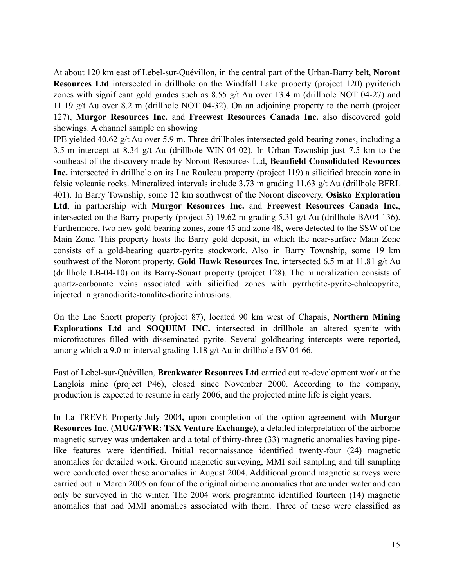At about 120 km east of Lebel-sur-Quévillon, in the central part of the Urban-Barry belt, **Noront Resources Ltd** intersected in drillhole on the Windfall Lake property (project 120) pyriterich zones with significant gold grades such as 8.55 g/t Au over 13.4 m (drillhole NOT 04-27) and 11.19 g/t Au over 8.2 m (drillhole NOT 04-32). On an adjoining property to the north (project 127), **Murgor Resources Inc.** and **Freewest Resources Canada Inc.** also discovered gold showings. A channel sample on showing

IPE yielded 40.62 g/t Au over 5.9 m. Three drillholes intersected gold-bearing zones, including a 3.5-m intercept at 8.34 g/t Au (drillhole WIN-04-02). In Urban Township just 7.5 km to the southeast of the discovery made by Noront Resources Ltd, **Beaufield Consolidated Resources Inc.** intersected in drillhole on its Lac Rouleau property (project 119) a silicified breccia zone in felsic volcanic rocks. Mineralized intervals include 3.73 m grading 11.63 g/t Au (drillhole BFRL 401). In Barry Township, some 12 km southwest of the Noront discovery, **Osisko Exploration Ltd**, in partnership with **Murgor Resources Inc.** and **Freewest Resources Canada Inc.**, intersected on the Barry property (project 5) 19.62 m grading 5.31 g/t Au (drillhole BA04-136). Furthermore, two new gold-bearing zones, zone 45 and zone 48, were detected to the SSW of the Main Zone. This property hosts the Barry gold deposit, in which the near-surface Main Zone consists of a gold-bearing quartz-pyrite stockwork. Also in Barry Township, some 19 km southwest of the Noront property, **Gold Hawk Resources Inc.** intersected 6.5 m at 11.81 g/t Au (drillhole LB-04-10) on its Barry-Souart property (project 128). The mineralization consists of quartz-carbonate veins associated with silicified zones with pyrrhotite-pyrite-chalcopyrite, injected in granodiorite-tonalite-diorite intrusions.

On the Lac Shortt property (project 87), located 90 km west of Chapais, **Northern Mining Explorations Ltd** and **SOQUEM INC.** intersected in drillhole an altered syenite with microfractures filled with disseminated pyrite. Several goldbearing intercepts were reported, among which a 9.0-m interval grading 1.18 g/t Au in drillhole BV 04-66.

East of Lebel-sur-Quévillon, **Breakwater Resources Ltd** carried out re-development work at the Langlois mine (project P46), closed since November 2000. According to the company, production is expected to resume in early 2006, and the projected mine life is eight years.

In La TREVE Property-July 2004**,** upon completion of the option agreement with **Murgor Resources Inc**. (**MUG/FWR: TSX Venture Exchange**), a detailed interpretation of the airborne magnetic survey was undertaken and a total of thirty-three (33) magnetic anomalies having pipelike features were identified. Initial reconnaissance identified twenty-four (24) magnetic anomalies for detailed work. Ground magnetic surveying, MMI soil sampling and till sampling were conducted over these anomalies in August 2004. Additional ground magnetic surveys were carried out in March 2005 on four of the original airborne anomalies that are under water and can only be surveyed in the winter. The 2004 work programme identified fourteen (14) magnetic anomalies that had MMI anomalies associated with them. Three of these were classified as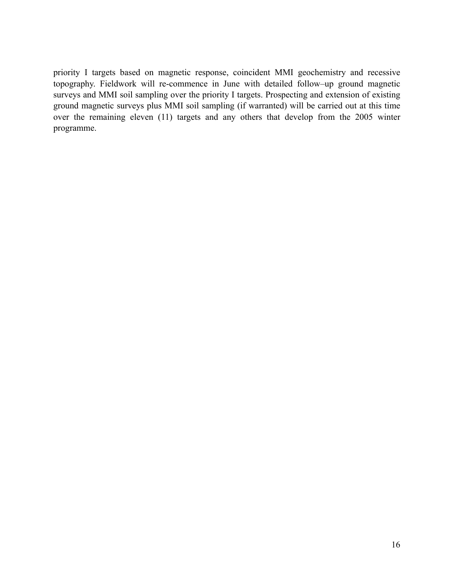priority I targets based on magnetic response, coincident MMI geochemistry and recessive topography. Fieldwork will re-commence in June with detailed follow–up ground magnetic surveys and MMI soil sampling over the priority I targets. Prospecting and extension of existing ground magnetic surveys plus MMI soil sampling (if warranted) will be carried out at this time over the remaining eleven (11) targets and any others that develop from the 2005 winter programme.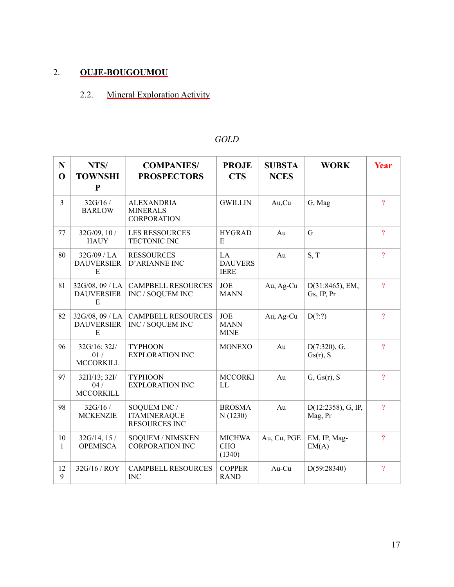# 2. **OUJE-BOUGOUMOU**

# 2.2. Mineral Exploration Activity

# *GOLD*

| N<br>$\mathbf 0$   | NTS/<br><b>TOWNSHI</b><br>P               | <b>COMPANIES/</b><br><b>PROSPECTORS</b>                     | <b>PROJE</b><br><b>CTS</b>               | <b>SUBSTA</b><br><b>NCES</b> | <b>WORK</b>                      | Year           |
|--------------------|-------------------------------------------|-------------------------------------------------------------|------------------------------------------|------------------------------|----------------------------------|----------------|
| 3                  | 32G/16/<br><b>BARLOW</b>                  | <b>ALEXANDRIA</b><br><b>MINERALS</b><br><b>CORPORATION</b>  | <b>GWILLIN</b>                           | Au,Cu                        | G, Mag                           | $\overline{?}$ |
| 77                 | 32G/09, 10 /<br><b>HAUY</b>               | <b>LES RESSOURCES</b><br>TECTONIC INC                       | <b>HYGRAD</b><br>E                       | Au                           | G                                | $\gamma$       |
| 80                 | 32G/09 / LA<br><b>DAUVERSIER</b><br>E     | <b>RESSOURCES</b><br>D'ARIANNE INC                          | LA<br><b>DAUVERS</b><br><b>IERE</b>      | Au                           | S, T                             | $\overline{?}$ |
| 81                 | 32G/08, 09 / LA<br><b>DAUVERSIER</b><br>E | <b>CAMPBELL RESOURCES</b><br>INC / SOQUEM INC               | <b>JOE</b><br><b>MANN</b>                | Au, Ag-Cu                    | D(31:8465), EM,<br>Gs, IP, Pr    | $\overline{?}$ |
| 82                 | 32G/08, 09 / LA<br><b>DAUVERSIER</b><br>E | <b>CAMPBELL RESOURCES</b><br>INC / SOQUEM INC               | <b>JOE</b><br><b>MANN</b><br><b>MINE</b> | Au, Ag-Cu                    | D(???)                           | $\overline{?}$ |
| 96                 | 32G/16; 32J/<br>01/<br><b>MCCORKILL</b>   | <b>TYPHOON</b><br><b>EXPLORATION INC</b>                    | <b>MONEXO</b>                            | Au                           | $D(7:320)$ , G,<br>Gs(r), S      | $\overline{?}$ |
| 97                 | 32H/13; 32I/<br>04/<br><b>MCCORKILL</b>   | <b>TYPHOON</b><br><b>EXPLORATION INC</b>                    | <b>MCCORKI</b><br>LL                     | Au                           | G, Gs(r), S                      | $\overline{?}$ |
| 98                 | 32G/16 /<br><b>MCKENZIE</b>               | SOQUEM INC /<br><b>ITAMINERAQUE</b><br><b>RESOURCES INC</b> | <b>BROSMA</b><br>N(1230)                 | Au                           | $D(12:2358)$ , G, IP,<br>Mag, Pr | $\overline{?}$ |
| 10<br>$\mathbf{1}$ | $32G/14$ , 15 /<br><b>OPEMISCA</b>        | <b>SOQUEM / NIMSKEN</b><br><b>CORPORATION INC</b>           | <b>MICHWA</b><br><b>CHO</b><br>(1340)    | Au, Cu, PGE                  | EM, IP, Mag-<br>EM(A)            | $\overline{?}$ |
| 12<br>9            | 32G/16 / ROY                              | <b>CAMPBELL RESOURCES</b><br><b>INC</b>                     | <b>COPPER</b><br><b>RAND</b>             | Au-Cu                        | D(59:28340)                      | $\overline{?}$ |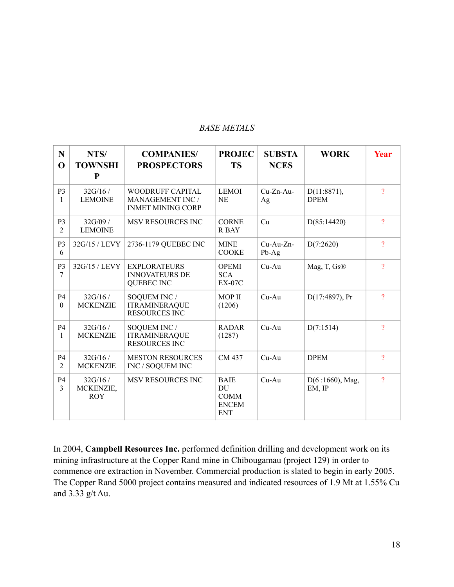#### *BASE METALS*

| $\mathbf N$<br>$\mathbf 0$       | NTS/<br><b>TOWNSHI</b><br>$\mathbf{P}$ | <b>COMPANIES/</b><br><b>PROSPECTORS</b>                                        | <b>PROJEC</b><br><b>TS</b>                                     | <b>SUBSTA</b><br><b>NCES</b> | <b>WORK</b>                   | Year                |
|----------------------------------|----------------------------------------|--------------------------------------------------------------------------------|----------------------------------------------------------------|------------------------------|-------------------------------|---------------------|
| P <sub>3</sub><br>$\mathbf{1}$   | 32G/16/<br><b>LEMOINE</b>              | <b>WOODRUFF CAPITAL</b><br><b>MANAGEMENT INC /</b><br><b>INMET MINING CORP</b> | <b>LEMOI</b><br><b>NE</b>                                      | $Cu-Zn-Au-$<br>Ag            | $D(11:8871)$ ,<br><b>DPEM</b> | $\gamma$            |
| P <sub>3</sub><br>$\overline{2}$ | 32G/09 /<br><b>LEMOINE</b>             | <b>MSV RESOURCES INC</b>                                                       | <b>CORNE</b><br>R BAY                                          | Cu                           | D(85:14420)                   | $\overline{?}$      |
| P <sub>3</sub><br>6              | 32G/15 / LEVY                          | 2736-1179 QUEBEC INC                                                           | <b>MINE</b><br><b>COOKE</b>                                    | $Cu-Au-Zn-$<br>Pb-Ag         | D(7:2620)                     | $\overline{?}$      |
| P3<br>$\tau$                     | 32G/15 / LEVY                          | <b>EXPLORATEURS</b><br><b>INNOVATEURS DE</b><br><b>QUEBEC INC</b>              | <b>OPEMI</b><br><b>SCA</b><br><b>EX-07C</b>                    | $Cu-Au$                      | Mag, T, Gs®                   | $\overline{?}$      |
| P <sub>4</sub><br>$\theta$       | 32G/16/<br><b>MCKENZIE</b>             | SOQUEM INC /<br><b>ITRAMINERAQUE</b><br><b>RESOURCES INC</b>                   | <b>MOP II</b><br>(1206)                                        | $Cu-Au$                      | $D(17:4897)$ , Pr             | $\overline{?}$      |
| <b>P4</b><br>$\mathbf{1}$        | 32G/16/<br><b>MCKENZIE</b>             | SOQUEM INC /<br><b>ITRAMINERAQUE</b><br><b>RESOURCES INC</b>                   | <b>RADAR</b><br>(1287)                                         | $Cu-Au$                      | D(7:1514)                     | $\gamma$            |
| <b>P4</b><br>$\overline{2}$      | 32G/16/<br><b>MCKENZIE</b>             | <b>MESTON RESOURCES</b><br>INC / SOQUEM INC                                    | CM 437                                                         | $Cu-Au$                      | <b>DPEM</b>                   | $\boldsymbol{\eta}$ |
| <b>P4</b><br>3                   | 32G/16/<br>MCKENZIE,<br><b>ROY</b>     | MSV RESOURCES INC                                                              | <b>BAIE</b><br>DU<br><b>COMM</b><br><b>ENCEM</b><br><b>ENT</b> | $Cu-Au$                      | D(6:1660), Mag,<br>EM, IP     | $\overline{?}$      |

In 2004, **Campbell Resources Inc.** performed definition drilling and development work on its mining infrastructure at the Copper Rand mine in Chibougamau (project 129) in order to commence ore extraction in November. Commercial production is slated to begin in early 2005. The Copper Rand 5000 project contains measured and indicated resources of 1.9 Mt at 1.55% Cu and 3.33 g/t Au.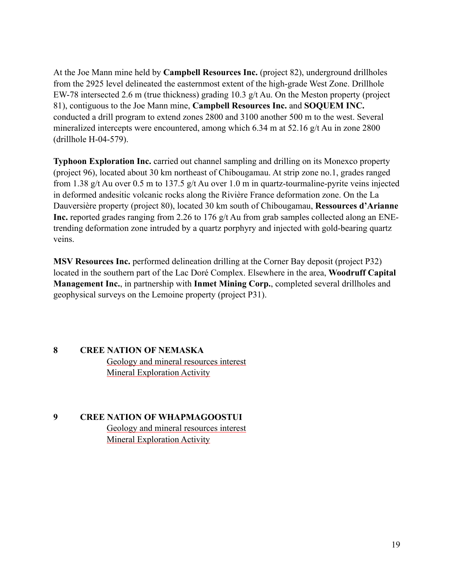At the Joe Mann mine held by **Campbell Resources Inc.** (project 82), underground drillholes from the 2925 level delineated the easternmost extent of the high-grade West Zone. Drillhole EW-78 intersected 2.6 m (true thickness) grading 10.3 g/t Au. On the Meston property (project 81), contiguous to the Joe Mann mine, **Campbell Resources Inc.** and **SOQUEM INC.**  conducted a drill program to extend zones 2800 and 3100 another 500 m to the west. Several mineralized intercepts were encountered, among which 6.34 m at 52.16 g/t Au in zone 2800 (drillhole H-04-579).

**Typhoon Exploration Inc.** carried out channel sampling and drilling on its Monexco property (project 96), located about 30 km northeast of Chibougamau. At strip zone no.1, grades ranged from 1.38 g/t Au over 0.5 m to 137.5 g/t Au over 1.0 m in quartz-tourmaline-pyrite veins injected in deformed andesitic volcanic rocks along the Rivière France deformation zone. On the La Dauversière property (project 80), located 30 km south of Chibougamau, **Ressources d'Arianne Inc.** reported grades ranging from 2.26 to 176 g/t Au from grab samples collected along an ENEtrending deformation zone intruded by a quartz porphyry and injected with gold-bearing quartz veins.

**MSV Resources Inc.** performed delineation drilling at the Corner Bay deposit (project P32) located in the southern part of the Lac Doré Complex. Elsewhere in the area, **Woodruff Capital Management Inc.**, in partnership with **Inmet Mining Corp.**, completed several drillholes and geophysical surveys on the Lemoine property (project P31).

#### **8 CREE NATION OF NEMASKA**

Geology and mineral resources interest Mineral Exploration Activity

**9 CREE NATION OF WHAPMAGOOSTUI**  Geology and mineral resources interest Mineral Exploration Activity